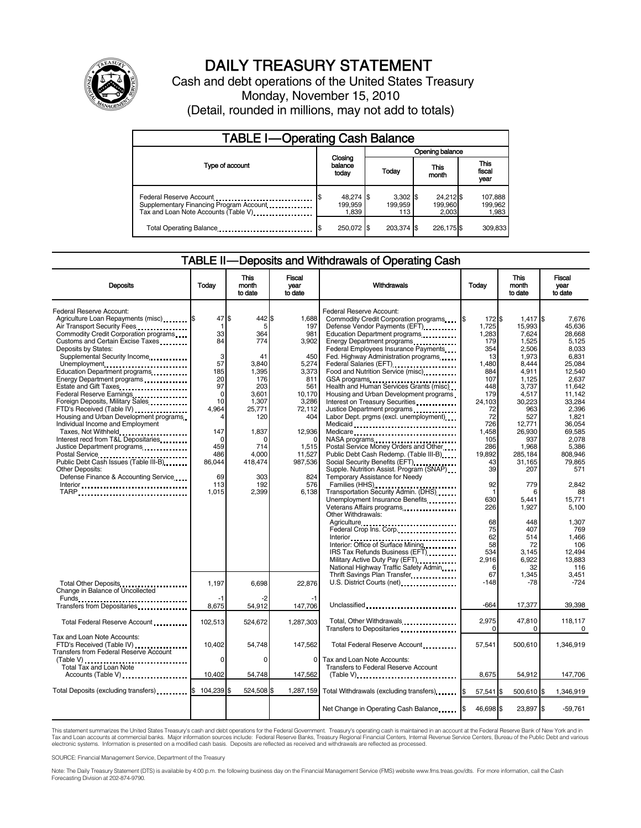

# DAILY TREASURY STATEMENT

Cash and debt operations of the United States Treasury Monday, November 15, 2010 (Detail, rounded in millions, may not add to totals)

| <b>TABLE I-Operating Cash Balance</b>                                                                      |                               |                              |                               |                             |  |  |  |
|------------------------------------------------------------------------------------------------------------|-------------------------------|------------------------------|-------------------------------|-----------------------------|--|--|--|
|                                                                                                            | Opening balance               |                              |                               |                             |  |  |  |
| Type of account                                                                                            | Closing<br>balance<br>today   | Today                        | This<br>month                 | This<br>fiscal<br>year      |  |  |  |
| Federal Reserve Account<br>Supplementary Financing Program Account<br>Tax and Loan Note Accounts (Table V) | 48,274 \$<br>199,959<br>1,839 | $3,302$ \$<br>199.959<br>113 | 24,212 \$<br>199,960<br>2.003 | 107,888<br>199,962<br>1,983 |  |  |  |
| Total Operating Balance                                                                                    | 250,072 \$                    | 203.374 \$                   | 226,175 \$                    | 309,833                     |  |  |  |

#### TABLE II — Deposits and Withdrawals of Operating Cash

| <b>Deposits</b>                                                                                                                                                                                                                                                                                                                                                                                                                                            | Todav                                                                   | <b>This</b><br>month<br>to date                                                                 | <b>Fiscal</b><br>year<br>to date                                                                        | Withdrawals                                                                                                                                                                                                                                                                                                                                                                                                                                                                                                                                   | Today                                                                                                   | <b>This</b><br>month<br>to date                                                                                               | Fiscal<br>vear<br>to date                                                                                                         |
|------------------------------------------------------------------------------------------------------------------------------------------------------------------------------------------------------------------------------------------------------------------------------------------------------------------------------------------------------------------------------------------------------------------------------------------------------------|-------------------------------------------------------------------------|-------------------------------------------------------------------------------------------------|---------------------------------------------------------------------------------------------------------|-----------------------------------------------------------------------------------------------------------------------------------------------------------------------------------------------------------------------------------------------------------------------------------------------------------------------------------------------------------------------------------------------------------------------------------------------------------------------------------------------------------------------------------------------|---------------------------------------------------------------------------------------------------------|-------------------------------------------------------------------------------------------------------------------------------|-----------------------------------------------------------------------------------------------------------------------------------|
| Federal Reserve Account:<br>Agriculture Loan Repayments (misc) [5<br>Air Transport Security Fees<br>Commodity Credit Corporation programs<br>Customs and Certain Excise Taxes<br>Deposits by States:<br>Supplemental Security Income<br>Unemployment<br>Education Department programs<br>Energy Department programs<br>Federal Reserve Earnings<br>Foreign Deposits, Military Sales<br>FTD's Received (Table IV)<br>Housing and Urban Development programs | 47S<br>-1<br>33<br>84<br>3<br>57<br>185<br>20<br>97<br>0<br>10<br>4,964 | 442<br>5<br>364<br>774<br>41<br>3.840<br>1.395<br>176<br>203<br>3,601<br>1,307<br>25,771<br>120 | 1.688<br>197<br>981<br>3,902<br>450<br>5,274<br>3.373<br>811<br>561<br>10,170<br>3,286<br>72,112<br>404 | Federal Reserve Account:<br>Commodity Credit Corporation programs \$<br>Defense Vendor Payments (EFT)<br>Education Department programs<br>Energy Department programs<br>Federal Employees Insurance Payments<br>Fed. Highway Administration programs<br>Federal Salaries (EFT)<br>1999 - Palaries (EFT)<br>Food and Nutrition Service (misc)<br>Health and Human Services Grants (misc)<br>Housing and Urban Development programs<br>Interest on Treasury Securities<br>Justice Department programs<br>Labor Dept. prgms (excl. unemployment) | 172 \$<br>1,725<br>1,283<br>179<br>354<br>13<br>1.480<br>884<br>107<br>448<br>179<br>24,103<br>72<br>72 | $1,417$ \$<br>15,993<br>7,624<br>1.525<br>2.506<br>1,973<br>8.444<br>4.911<br>1,125<br>3,737<br>4.517<br>30,223<br>963<br>527 | 7.676<br>45.636<br>28.668<br>5.125<br>8.033<br>6.831<br>25.084<br>12.540<br>2,637<br>11,642<br>11.142<br>33,284<br>2,396<br>1.821 |
| Individual Income and Employment<br>Taxes, Not Withheld<br>Interest recd from T&L Depositaries<br>Justice Department programs<br>Postal Service<br>Public Debt Cash Issues (Table III-B)<br><b>Other Deposits:</b><br>Defense Finance & Accounting Service<br>Interior                                                                                                                                                                                     | 147<br>$\Omega$<br>459<br>486<br>86,044<br>69<br>113<br>1,015           | 1,837<br>∩<br>714<br>4,000<br>418,474<br>303<br>192<br>2,399                                    | 12,936<br>1,515<br>11,527<br>987,536<br>824<br>576<br>6,138                                             | Medicaid<br>Medicare<br>NASA programs<br>Postal Service Money Orders and Other<br>Public Debt Cash Redemp. (Table III-B)<br>Social Security Benefits (EFT)<br>Supple. Nutrition Assist. Program (SNAP)<br>Temporary Assistance for Needy<br>Families (HHS)<br>Transportation Security Admin. (DHS)                                                                                                                                                                                                                                            | 726<br>1,458<br>105<br>286<br>19,892<br>43<br>39<br>92<br>$\mathbf{1}$                                  | 12,771<br>26,930<br>937<br>1,968<br>285,184<br>31,165<br>207<br>779<br>6                                                      | 36.054<br>69,585<br>2.078<br>5,386<br>808,946<br>79.865<br>571<br>2,842<br>88                                                     |
|                                                                                                                                                                                                                                                                                                                                                                                                                                                            |                                                                         |                                                                                                 |                                                                                                         | Unemployment Insurance Benefits<br>Other Withdrawals:<br>Agriculture<br>Federal Crop Ins. Corp.<br>Interior: Office of Surface Mining<br>IRS Tax Refunds Business (EFT)<br>Military Active Duty Pay (EFT)<br>National Highway Traffic Safety Admin<br>Thrift Savings Plan Transfer<br>1991 - Thrift Savings Plan Transfer<br>1992 - Thrift Savings Plan Transfer<br>1993 - Thrift Savings Plan Transfer<br>1994 - Thrift Savings Plan Transfer<br>1994 - Thrift Savings Plan Transfer<br>1995 -                                               | 630<br>226<br>68<br>75<br>62<br>58<br>534<br>2,916<br>6<br>67                                           | 5,441<br>1,927<br>448<br>407<br>514<br>72<br>3,145<br>6,922<br>32<br>1,345                                                    | 15,771<br>5,100<br>1.307<br>769<br>1.466<br>106<br>12,494<br>13.883<br>116<br>3,451                                               |
| Total Other Deposits<br>Change in Balance of Uncollected<br>Transfers from Depositaries                                                                                                                                                                                                                                                                                                                                                                    | 1,197<br>-1<br>8,675                                                    | 6,698<br>-2<br>54,912                                                                           | 22,876<br>147,706                                                                                       | U.S. District Courts (net)<br>1991 - The London D.S. District Courts (net)<br>1991 - The London D.S. District Courts (net)<br>1992 - The London D.S. District Courts (net)<br>1993 - The London D.S. District Courts (net)<br>1993 - The<br>Unclassified                                                                                                                                                                                                                                                                                      | $-148$<br>$-664$                                                                                        | $-78$<br>17,377                                                                                                               | $-724$<br>39,398                                                                                                                  |
| Total Federal Reserve Account                                                                                                                                                                                                                                                                                                                                                                                                                              | 102,513                                                                 | 524,672                                                                                         | 1,287,303                                                                                               | Total, Other Withdrawals                                                                                                                                                                                                                                                                                                                                                                                                                                                                                                                      | 2,975<br>$\Omega$                                                                                       | 47,810<br>0                                                                                                                   | 118,117<br>0                                                                                                                      |
| Tax and Loan Note Accounts:<br>FTD's Received (Table IV)<br>Transfers from Federal Reserve Account<br>Total Tax and Loan Note                                                                                                                                                                                                                                                                                                                              | 10.402<br>$\Omega$                                                      | 54,748<br>$\Omega$                                                                              | 147,562<br>0                                                                                            | Total Federal Reserve Account<br>Tax and Loan Note Accounts:<br>Transfers to Federal Reserve Account                                                                                                                                                                                                                                                                                                                                                                                                                                          | 57,541                                                                                                  | 500,610                                                                                                                       | 1,346,919                                                                                                                         |
| Accounts (Table V)                                                                                                                                                                                                                                                                                                                                                                                                                                         | 10.402                                                                  | 54,748                                                                                          | 147,562                                                                                                 | $(Table V)$ ,                                                                                                                                                                                                                                                                                                                                                                                                                                                                                                                                 | 8.675                                                                                                   | 54,912                                                                                                                        | 147,706                                                                                                                           |
| Total Deposits (excluding transfers) <b>S</b>                                                                                                                                                                                                                                                                                                                                                                                                              | 104,239                                                                 | 524,508 \$<br>ß.                                                                                | 1,287,159                                                                                               | Total Withdrawals (excluding transfers) [\$<br>Net Change in Operating Cash Balance                                                                                                                                                                                                                                                                                                                                                                                                                                                           | 57,541 \$<br>46,698 \$                                                                                  | 500,610 \$<br>23,897 \$                                                                                                       | 1,346,919<br>$-59,761$                                                                                                            |

This statement summarizes the United States Treasury's cash and debt operations for the Federal Government. Treasury's operating cash is maintained in an account at the Federal Reserve Bank of New York and in<br>Tax and Loan electronic systems. Information is presented on a modified cash basis. Deposits are reflected as received and withdrawals are reflected as processed.

SOURCE: Financial Management Service, Department of the Treasury

Note: The Daily Treasury Statement (DTS) is available by 4:00 p.m. the following business day on the Financial Management Service (FMS) website www.fms.treas.gov/dts. For more information, call the Cash Forecasting Division at 202-874-9790.